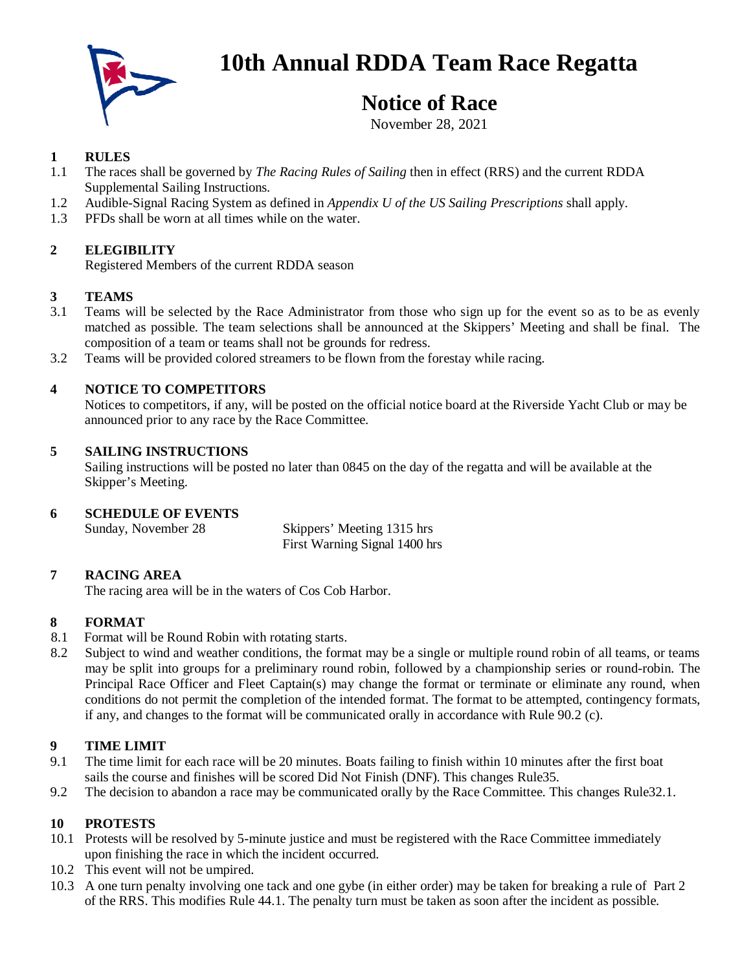

# **10th Annual RDDA Team Race Regatta**

# **Notice of Race**

November 28, 2021

#### **1 RULES**

- 1.1 The races shall be governed by *The Racing Rules of Sailing* then in effect (RRS) and the current RDDA Supplemental Sailing Instructions*.*
- 1.2 Audible-Signal Racing System as defined in *Appendix U of the US Sailing Prescriptions* shall apply.
- 1.3 PFDs shall be worn at all times while on the water.

# **2 ELEGIBILITY**

Registered Members of the current RDDA season

#### **3 TEAMS**

- 3.1 Teams will be selected by the Race Administrator from those who sign up for the event so as to be as evenly matched as possible. The team selections shall be announced at the Skippers' Meeting and shall be final. The composition of a team or teams shall not be grounds for redress.
- 3.2 Teams will be provided colored streamers to be flown from the forestay while racing.

# **4 NOTICE TO COMPETITORS**

Notices to competitors, if any, will be posted on the official notice board at the Riverside Yacht Club or may be announced prior to any race by the Race Committee.

#### **5 SAILING INSTRUCTIONS**

Sailing instructions will be posted no later than 0845 on the day of the regatta and will be available at the Skipper's Meeting.

#### **6 SCHEDULE OF EVENTS**

Sunday, November 28 Skippers' Meeting 1315 hrs First Warning Signal 1400 hrs

# **7 RACING AREA**

The racing area will be in the waters of Cos Cob Harbor.

# **8 FORMAT**

- 8.1 Format will be Round Robin with rotating starts.
- 8.2 Subject to wind and weather conditions, the format may be a single or multiple round robin of all teams, or teams may be split into groups for a preliminary round robin, followed by a championship series or round-robin. The Principal Race Officer and Fleet Captain(s) may change the format or terminate or eliminate any round, when conditions do not permit the completion of the intended format. The format to be attempted, contingency formats, if any, and changes to the format will be communicated orally in accordance with Rule 90.2 (c).

# **9 TIME LIMIT**

- 9.1 The time limit for each race will be 20 minutes. Boats failing to finish within 10 minutes after the first boat sails the course and finishes will be scored Did Not Finish (DNF). This changes Rule35.
- 9.2 The decision to abandon a race may be communicated orally by the Race Committee. This changes Rule32.1.

# **10 PROTESTS**

- 10.1 Protests will be resolved by 5-minute justice and must be registered with the Race Committee immediately upon finishing the race in which the incident occurred.
- 10.2 This event will not be umpired.
- 10.3 A one turn penalty involving one tack and one gybe (in either order) may be taken for breaking a rule of Part 2 of the RRS. This modifies Rule 44.1. The penalty turn must be taken as soon after the incident as possible.